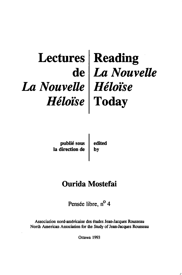### **Lectures** de *La Nouvelle Héloïse*  Reading *La Nouvelle Héloïse*  Today

publié soœ la direction de

edited by

## Ourida Mostefai

Pensée libre, n<sup>o</sup> 4

Association nord-américaine des études Jean-Jacques Rousseau North American Association for the Study of Jean-Jacques Rousseau

Ottawa 1993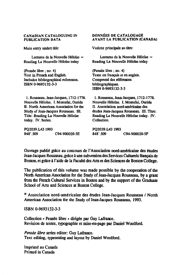#### CANADIAN CATALOGUING IN PUBLICATION DATA

Main entry undert title:

Lectures de la Nouvelle Héloïse  $=$ Reading La Nouvelle Héloïse today

(pensée libre; no. 4) Text in French and English. Includes bibliographical references. ISBN 0-9693132-3-3

1. Rousseau. Jean-Jacques, 1712-1778. Nouvelle Héloïse. I. Mostefai, Ourida II. North American Association for the Study of Jean-Jacques Rousseau. III. Tille: Reading La Nouvelle Héloïse today. IV. Series.

PQ2039.L43 1993<br>848'.509 C94-900020-5E DONNÉES DE CATALOGAGE **AVANT LA PUBLICATION (CANADA)** 

Vedette principale au titre:

Lectures de la Nouvelle Héloïse = Reading La Nouvelle Héloïse today

(pensée libre; no. 4) Texte en français et en anglais. Comprend des références bibliographiques. ISBN 0-9693132-3-3

1. Rousseau, Jean-Jacques, 1712-1778. Nouvelle Héloïse. 1. Mostefai, Ourida II. Association nonl-américaine des études Jean-Jacques Rousseau. III. Titre: Reading la Nouvelle Héloise today. IV. Collection.

PQ2039.L43 1993<br>848'.509 C94-900020-SF

Ouvrage publié grâce au COncOUlS de l'Association nord-américaine des études Jean-Jacques Rousseau, grâce à une subvention des Services Culturels fiançais de Boston, et grâce à l'aide de la Faculté des Ans et des Sciences de Boston CoUege.

The publication of this volume was made possible by the cooperation of the North American Association for the Study of Jean-Jacques Rousseau, by a gram from the French Cultural Services in Boston and by the support of the Graduate School of Arts and Sciences at Boston College.

 $\degree$  Association nord-américaine des études Jean-Jacques Rousseau / North Americao Association for the Study of Jean-Jacques Rousseau, 1993.

ISBN 0-9693132-3-3

Collection « Pensée libre » dirigée par Guy Lafrance. Revision de textes, typographie et mise-en-page par Daniel Woolford.

*Pensée übre* series editor: Guy Lafrance. Text editing, typesetting and layout by Daniel Woolford.

Imprimé au Canada Printed in Canada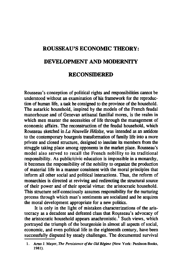# **ROUSSEAU'S ECONOMIC THEORY: DEVELOPMENT AND MODERNITY**

### **RECONSIDERED**

Rousseau' s conception of political rights and responsibilities cannot be understood without an examination of bis framework for the reproduction of human life, a task he consigned to the province of the household. The autarkic household, inspired by the models of the French feudal manorhouse and of Genevan artisanal familial mores, is the realm in which men master the necessities of Iife through the management of economic affairs. The reconstruction of the feudal household, which Rousseau sketched in *La Nouvelle Héloïse*, was intended as an antidote to the contemporary bourgeois transformation of family life into a more private and closed structure, designed to insulate its members from the struggle taking place among opponents in the market place. Rousseau's model also served to recall the French nobility to its traditional responsibility. As public/civic education is impossible in a monarchy. it becomes the responsibility of the nobility to organize the production of material life in a manner consistent with the moral princip les that inform ail other social and politieal interactions. Thus, the reform of monarchies is directed at reviving and redirecting the structural source of their power and of their special virtue: the aristocratie household. This structure self-consciously assumes responsibility for the nurturing process through which man's sentiments are socialized and he acquires the moral development appropriate for a new politics.

It is only in the light of mistaken characterizations of the aristocraey as a decadent and defeated elass that Rousseau's advocacy of the aristocratic household appears anachronistic.<sup>1</sup> Such views. which portrayed the triumph of the bourgeoisie in almost all aspects of social, economic, and even political life in the eighteenth century, have been successfully disputed by steady challenges. The documented survival

<sup>1.</sup> Arno J. Mayer, The *Persislence o/the DM Régime* (New York: Panlheon Books, 1981).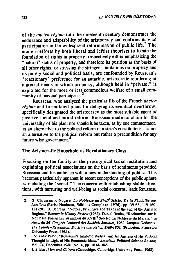of the *ancien régime* into the nineteenth century demonstrates the endurance and adaptability of the aristocracy and confirms its vital participation in the widespread reformulation of public life. $2$  The modern efforts by both liberal and leftist theorists to locate the foundation of rights in property, respectively either emphasizing the "natural" status of property, and therefore its position as the basis of ail other rights, or stressing the stringent limitations on property and its purely social and political basis, are confounded by Rousseau's "reaetionary" preference for an autarkic, aristocratie reordering of material needs in which property, although held in "private," is exploited for the more or less commodious welfare of a smalt community of unequal participants.<sup>3</sup>

Rousseau, who analyzed the partieular iIIs of the French *ancien régime* and formulated plans for delaying its eventual overthrow, specifically designated the aristocracy as the most suitable agent of positive social and moral reform. Rousseau made no claim for the universality of his plan, nor should it he taken, as by one commentator, as an alternative to the political reform of a state's constitution: it is not an alternative to the political reform but rather a precondition for any future wise government.<sup>4</sup>

#### The Aristocratie Household as Revolutionary Class

Foeusing on the family as the prototypical social institution and explaining political associations on the basis of sentiments provided Rousseau and his audience with a new understanding of politics. This becomes particularly apparent in recent conceptions of the public sphere as including the "social. " The concern with establishing stable affections, with nurturing and well-being as social concerns. leads Rousseau

<sup>2.</sup> G. Chaussinand-Nogaret, La Noblesse au XVIIf<sup>e</sup> Siècle, De la Féodalité aux *Lumières* (Paris: Hachette, Éditions Complexe, 1976), pp. 39-65, 119-160, 181-201. B. Behrens. "Nobles, Privileges and Taxes at the end of the Ancient Regime," *Economic History Review* (1962). Daniel Roche, "Recherches sur la Noblesse Parisienne au millieu du XVIIf Siècle: La Noblesse du Marais," in Actes du 86<sup>e</sup> Congrès National des Sociétés Savantes, 1962. Jacques Godechot, *The COUlller-Revolution: Doctrine and Action 1789-1804,* (Princeton: Princeton University Press, 1981).

<sup>3.</sup> See Yoav Peled, "Rousseau's Inhibited Radicalism: An Analysis of His Political Thought in Light of His Economie Ideas," *American Po/itical Science Review,*  Vol. 74, December 1980, No. 4, pp. 1034-1045.

<sup>4.</sup> J. Shklar, *Men and Cilizens* (Cambridge: Cambridge University Press, 1968).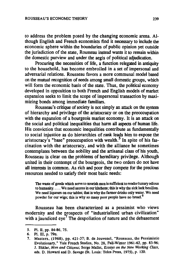to address the problem posed by the changing economic arena. AIthough English and French economists find it necessary to include the economic sphere within the boundaries of public opinion yet outside the jurisdiction of the state, Rousseau instead wants it to remain within the domestic purview and under the aegis of political adjudication.

Procuring the necessities of life, a function relegated in antiquity to the household, has become embroiled in a set of impersonal and adversarial relations. Rousseau favors a more communal model based on the mutual recognition of needs among small domestic groups, which will form the economic basis of the state. Thus, the political economy developed in opposition to both French and English models of market expansion seeks to limit the scope of impersonal transaction by maximizing bonds among immediate familiars.

Rousseau's critique of society is not simply an attack on the system of hierarchy and privilege of the aristocracy or on the preoccupation with the expansion of a bourgeois market economy. It is an attack on the social and political inequalities that harm ail aspects of human life. His conviction that economic inequalities contribute as fundamentaily to social injustice as do hierarchies of rank leads him to expose the aristocracy's "base" preoccupation with wealth.<sup>5</sup> In spite of his fascination with the aristocracy, and with the alliance he sometimes contemplates between the nobility and the artisanal class of bis youth, Rousseau is clear on the problems of hereditary privilege. Although united in their contempt of the bourgeois, the two orders do not have ail interests in common. As rich and poor they compete for the precious resources needed to satisfy their most basic needs:

The waste of goods which serve to nourish men is sufficient to render luxury odious to humanity .... We need sauces in our kitchens; this is why the sick lack bouillon. We need liqueurs on our tables; that is why the farmer drinks only water. We need powder for our wigs; this is why so many poor people have no bread.<sup>6</sup>

Rousseau has been characterized as a pessimist who views modernity and the prospects of "industrialized urban civilization" with a jaundiced  $e^{-7}$  The despoliation of nature and the debasement

<sup>5.</sup> PI. Il, pp. 84-86, 75.

<sup>6.</sup> PI. Ill, p. 79n.

<sup>7.</sup> Masters, (1968), pp. 421-37; B. de Jouvenel, "Rousseau, the Pessimistic Evolutionary," Yale French Studies, No. 28, Fall-Winter 1961-62, pp. 83-96; J. Shklar, *Men and Citizens*; Serge Mallet, *Essays on the New Working Class*, eds. D. Howard and D. Savage (St. Louis: Telos Press, 1975), p. 120.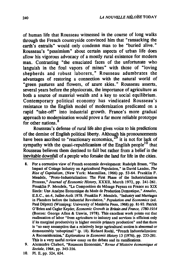of human life that Rousseau witnessed in the course of long walks through the French countryside convinced him that "ransacking the earth's entrails" would only condemn man to be "buried alive." Rousseau's "pessimism" about certain aspects of urban life does allow his vigorous advocacy of a mostly rural existence for modern man. Contrasting "the emaciated faces of the unfortunate who languish in the foul vapors of mines" with those of "loving shepherds and robust laborers," Rousseau adumbrates the advantages of restoring a connection with the natural world of "green pastures and flowers, of azure skies." Rousseau asserts, several years before the physiocrats, the importance of agriculture as both a source of material wealth and a key to social equilibrium. Contemporary political economy has vindicated Rousseau's resistance to the English model of modernization predicated on a rapid "take-off" into industrial growth. France's more graduai approach to modernization would prove a far more reliable prototype for other nations. 8

Rousseau's defense of rural life also gives voice to his predictions of the demise of English political liberty. Although his pronouncements have been ascribed to "reactionary economics,"<sup>9</sup> it is not for lack of sympathy with the quasi-republicanism of the English people<sup>10</sup> that Rousseau believes them destined to fail but rather from a belief in the inevitable downfall of a people who forsake the land for life in the cities.

- 8. Por a corrective view of Prench economic development: Rudolph Braun, "The Impact of Cottage lndustry on Agricultural Population," in David Landes, The *Rise of Capilalism,* (New York: Macmillan, 1966) pp. 53-64. Pranklin P. Mendels, "Proto-Industrialization: The Pirst Phase of the Industrialization Process," *Journal of Economie Hislory,* XXXII, March 1972, pp. 241-261. Pranklin P. Mendels, "La Composition du Ménage Paysan en Prance au XIX Siecle: Une Analyse Economique du Mode de Production Domestique, " *Annales,*  E.S.C., no.4, Juillet-Aotlt 1978. Pranklin P. Mendels, "Industry and Marriages in Planders before the Industrial Revolution," *Population* and *Economies* (ed. Paul Déprez) (Winnipeg: University of Manitoba Press, 1968) pp. 81-93. Patrick O'Brien and caglar Keyder, *Economie Growrh in Britain* and *France, 178().1914*  (Boston: George Allen & Unwin, 1978). This excellent work points out that reallocation of labor "from agriculture to industry and services is efficient only if its marginal productivity is higher outside primary production" and that there is "no easy assumption that a relatively large agricultural section is abnormal or demonstrably 'suboptimal'" (p. 18). Richard Roehl, "French Industrialization: A Reconsideration," *Explorations in Economie Hislory* 13 (1976), pp. 233-281. This is a very useful review essay on the debate and its ramifications.
- 9. Alexandre Chabert, "Rousseau Economist." *Revue d'Histoire économique et Sociale,* 1964, pp. 345-356.
- 10. PI. Il, pp. 524,654.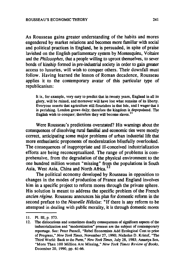As Rousseau gains greater understanding of the habits and mores engendered by market relations and becomes more familiar with social and political practices in England, he is persuaded, in spite of praise lavished on the English parliamentary system by Montesquieu, Voltaire and the *Philosophes,* that a people willing to uproot themselves, to sever bonds of kinship formed in pre-industrial society in order to gain greater access to luxuries, will wish to conquer others. Their downfall must follow. Having learned the lesson of Roman decadence, Rousseau applies it to the contemporary avatar of this particular type of republicanism:

It is, for example, very easy to predict that in twenty years, England in all its glory. will be ruined. and moreover will have lost what remains of its libeny. Everyone asserts that agriculture still flourishes in that Isle, and I wager that it is perishing. London grows daily; therefore the kingdom is depopulated. The English wish to conquer: therefore they will become slaves.<sup>11</sup>

Were Rousseau's predictions overstated? His warnings about the consequences of dissolving rural familial and economic ties were mostly correct, anticipating some major problems of urban industrial life that more enthusiastic proponents of modernization blissfully overlooked. The consequences of inappropriate and ill-conceived industrialization efforts are being reconceptualized. The range of problems is comprehensive, from the degradation of the physical environment to the one hundred million women "missing" from the populations in South Asia, West Asia, China and North Africa.<sup>12</sup>

The political economy developed by Rousseau in opposition to changes in the modes of production of France and England involves him in a specifie project to reform mores through the private sphere. His solution is meant to address the specifie problem of the French *ancien régime.* Rousseau anoounces bis plan for domestic reform in the second preface to the *Nouvelle Hé/oise:* "If there is any reform to be attempted in dealing with public morality, it is through domestic mores

<sup>11.</sup> PI. III. p. 573.

<sup>12.</sup> The dislocations and sometimes deadly consequences of significant aspects of the industrialization and "modernization" process are the subject of contemporary reportage. Sec: Peter Passell, "Rebel Economists Add Ecological Cost to price of Progress," *New York Times*, November 27, 1990; Nicholas D. Kristof, "The Third World: Back to the Parm," *New* York *runes.* July 28. 1985; Amartya Sen, "More Tban 100 Million Are Missing." *New* York *Times Review of* Books. December 20, 1990, pp. 61-66.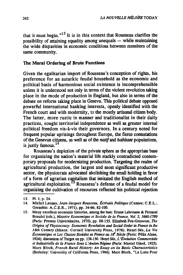that it must begin.  $n^{13}$  It is in this context that Rousseau clarifies the possibility of attaining equality among unequals  $-$  while maintaining the wide disparities in economic conditions between members of the same community.

#### The Moral Ordering of Brute Functions

Given the egalitarian import of Rousseau's conception of rights, his preference for an autarkic feudal household as the economic and political basis of harmonious social existence is incomprehensible unless it is understood not only in terms of the violent revolution taking place in the mode of production in England, but also in terms of the debate on reform taking place in Geneva. This political debate opposed powerful international banking interests, openly identified with the French court and with modernity, to the mostly artisanal citizen body. The latter, more rustic in manner and traditionalist in their daily practices, sought territorial independence as weil as greater internai political freedom vis-à-vis their governors. In a century noted for frequent popular uprisings throughout Europe, the flerce contestations of the Genevan citizens, as weil as of the *natif* and *habitant* populations, is justly famous. $14$ 

Rousseau's depiction of the private sphere as the appropriate base for organizing the nation's material life starkly contradicted contemporary proposais for modernizing production. Targeting the realm of agricultural production, the largest and most significant productive sector, the physiocrats advocated abolishing the small holding in favor of a form of agrarian capitalism that imitated the English method of agricultural exploitation. *5* Rousseau's defense of a feudal model for organizing the cultivation of resources reflected bis political rejection

<sup>13.</sup> Pl. J, p. 24.

<sup>14.</sup> Michel Launay, *Jean-Jacques Rousseau, Écrivain Politique* (Cannes; C.E.L.; Grenoble: A.C.E.R., 1971), pp. 34-66; 82-100.

<sup>15.</sup> Many excellent economic histories, among the best: Ernest Labrousse & Pernand Braudel (eds.), *Histoire Economique et Sociale de la France, Vol.* 2, *1660-1789*  (paris: Presses Universitaires, 1970), pp. 88-155. Elizabeth Pox-Genovese, The *Origins of Physiocracy: Economic Revolution and Social Omer in France in the 18th Century* (Ithaca: Cornell University Press, 1976). Henri Sée, *La Vie Économique el Les Classes Sociales en France au 18<sup>e</sup> Siècle (Paris: Félix Alcan.* 1924); discussion ofThrgot on pp. 138-150. Henri Sée, *L'Évolution Commerciale etlnduslrielle de la France Sous L'Ancien Régime* (Paris: Marcel Giard, 1925). Marc Bloch, *French Rural History: An Essay* on *ilS Basic CharacterÎstÎcs*  (Berkeley: University of California Press, 1966). Marc Bloch, "La Lutte Pour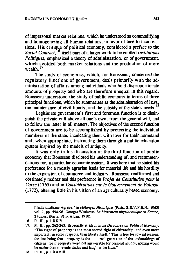of impersonal market relations. which he understood as commodifying and homogenizing ail human relations. in favor of face-to-face relations. His critique of political economy, considered a preface to the *Social Contract.* 6 itself part of a larger work to he entitled *Institutions Politiques.* emphasized a theory of administration. or of government. which avoided both market relations and the production of more wealth.<sup>17</sup>

The study of economics. which. for Rousseau. concemed the regulatory fùnctions of govemment. deals primarily with the administration of affairs among individuals who hold disproportionate amounts of property and who are therefore unequal in this regard. Rousseau understood the study of public economy in terms of three principal funetions. which he surnmarizes as the administration of laws the maintenance of civil liberty, and the subsidy of the state's needs.<sup>18</sup>

Legitimate government's first and foremost function is to distinguish the private will above ail one's own. from the general will. and to follow the latter in ail matters. The objectives of the second function of govemment are to be accomplished by protecting the individual members of the state. inculcating them with love for their homeland and. when appropriate. instructing them through a public education system inspired by the models of antiquity.

It was only in his discussion of the third function of public economy that Rousseau disclosed bis understanding of. and recommendations for, a particular economic system. It was here that he stated his preference for a mostly agrarian basis for material life and his hostility 10 the expansion of commerce and industry. Rousseau reaffrrmed and obstinately maintained this preference in *Projet de Constitution pour* la *Corse* (1765) and in *Considérations sur le Gouvernement de Pologne*  (1772). altering little in his vision of an agriculturally based economy.

l'Individualisme Agraire." in *Mélanges Historiques* (paris: S. E. V . P .E. N .• 1963) vol. 2, pp. 594-96. Georges Weulersse, Le Movement physiocratique en France, 2 tomes, (Paris: Félix Alcan. 1910).

<sup>16.</sup> Pl. III. p. LXXIV.

<sup>17.</sup> Pl. III, pp. 262-263. Especially strident in the *Discourse on Political Economy*: "The right of property is the most sacred right of citizenship, and even more important, in some respects, than liberty itself." This is true for several reasons, the last being that "property is the . . . real guarantor of the undertakings of citizens: for if property were not answerable for personal actions. nolhing would be easier than to evade duties and laugh at the laws."

<sup>18.</sup> Pl. III. p. LXXVIII.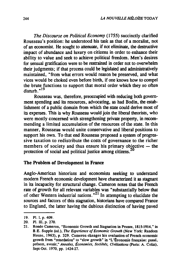*The Discourse on Political Economy* (1755) succinctly clarified Rousseau's position: he understood his task as that of a moralist, not of an economist. He sought to attenuate, if not eliminate, the destructive impact of abundance and luxury on citizens in order to enhance their ability to value and seek to achieve political freedom. Men's desires for sensual gratification were to be restrained in order not to overwhelm their judgments; if that process could he legislated and administratively maintained, "from what errors would reason be preserved, and what vices would be choked even before birth, if one knows how to compel the brute functions to support that moral order which they so often  $disturb.^{n19}$ 

Rousseau was, therefore, preoccupied with reducing both govemment spending and its resources, advocating, as had Bodin, the establishment of a public domain from which the state could derive most of its expenses. This is why Rousseau would join the liberal theorists, who were mostly concerned with strengthening private property, in recommending a limited accumulation of the resources of the state. In this manner, Rousseau would unite conservative and liberal positions to support his own. To that end Rousseau proposed a system of progressive taxation to redistribute the costs of governance to the richer members of society and thus ensure his primary objective  $-$  the protection of social and political justice among citizens.<sup>2</sup>

#### The Problem or Development in France

Anglo-American historians and economists seeking to understand modem French economic development have characterized it as stagnant in its incapacity for structural change. Cameron notes that the French rate of growth for ail relevant variables was "substantially below that of other Western industrial nations.<sup>"21</sup> In attempting to elucidate the sources and factors of this stagnation, historians have compared France to England, the latter having the dubious distinction of having paved

<sup>19.</sup> PI. I. p. 409.

<sup>20.</sup> PI. III. p. 270.

<sup>21.</sup> Rondo Cameron. "Economie Growth and Stagnation in Prance. 1815-1914." in B.E. Supple (ed.), *The Experience of Economic Growth* (New York: Random House, 1963), p. 329. Cameron changes his evaluation of Prench economic growth from "retardation" to "slow growth" in "L'Économie française: passé. présent, avenir," *Annales. Économies, Sociélés. Civilisations* (paris: A. Colin), Sept-Oct. 1970, pp. 1424-27.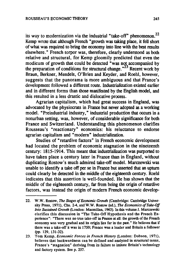its way to modernization via the industrial "take-off" phenomenon.<sup>22</sup> Kemp wrote that a1though French "growth was taking place, it fell short ofwhat was required to bring the economy into line with the best results elsewhere." French torpor was, therefore. clearly understood as both relative and structural, for Kemp gloomily predicted that even the modicum of growth that could be detected "was not accompanied by the preparation of conditions for structural change.<sup>"23</sup> Recent work by Braun, Berkner, Mendels, O'Brien and Keyder, and Roehl, however, suggests that the panorama is more ambiguous and that France's development followed a different route. Industrialization existed earlier and in different forms than those manifested by the English model, and this resulted in a less drastic and dislocative process.

Agrarian capitalism, which had great success in England. was advocated by the physiocrats in France but never adopted as a working model. "Preindustrial industry," industrial production that occurs in a nonurban setting, was, however. of considerable significance for both France and Switzerland. Understanding this phenomenon clarifies Rousseau's "reactionary" economics: his reluctance to endorse agrarian capitalism and "modem" industrialization.

Studies of "retardive factors" in French economic development had located the problem of economic stagnation in the nineteenth century: 1815-1914. This meant that industrialization was purported to have taken place a century later in France than in England, without duplicating Rostow's much admired take-off model. Marczewski was unable to identify a take off per se in France but asserted that an upturn could clearly be detected in the middle of the eighteenth century. Roehl indicates that this assertion is well-founded. He has shown that the middle of the eighteenth century, far from being the origin of retardive factors, was instead the origin of modem French economic develop-

<sup>22.</sup> w. W. Rostow, *The Stages of Economic Growth* (Cambridge: cambridge University Press, 1971), Chs. 2-4, and W.W. Rostow (ed.), *The Economics of Take-Off Inro Susrained Growth* (London: Macmillan. 1963). ln this volwne J. Marczewski clarifies this discussion in "The Take-Off Hypothesis and the Prench Experience": "There was no true lake-off in Pranee at aU: the growth of the Prench economy was very graduai and its origin lies far in the past." He believes that if there was a lake-off it was in 1750; Prance was a leader and Brilain a follower (pp. 129, 131-32).

<sup>23.</sup> Tom Kemp, *Economic Forces in French Hisrory* (London: Dobson, 1971), believes tbat backwardness can be defined and analyzed in structural terms, Prance's "stagnation" deriving from its failure to imitate Britain's technology and factory system. See p. 257.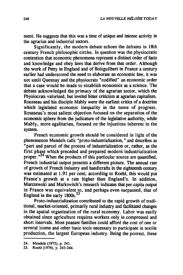ment. He suggests that this was a time of unique and intense activity in the agrarian and industrial sectors.

Significantly, the modern debate echoes the debates in 18th century French philosophic circles. In question was the physiocratic contention that economic phenomena represent a distinct order of facts and knowledge and obey laws that derive from that order. Although the work of petty in England and of Boisguilbert in France a century eartier had underscored the need to elaborate an economic law, it was not until Quesnay and the physiocrats "codified" an economic order that a case would be made to establish economics as a science. The debate acknowledged the primacy of the agrarian sector, which the Physiocrats valorized, but leveled bitter criticism at agrarian capitalism. Rousseau and his disciple Mably were the earliest critics of a doctrine which legislated economic inequality in the name of progress. Rousseau's most salient objection focused on the separation of the economic sphere from the judicature of the legislative authority, while Mably, more egalitarian, focused on the injustices inherent in the system.

French economic growth should be considered in Iight of the phenomenon Mendels calls "proto-industrialization," and describes as "part and parcel of the process of industrialization or, rather, as the first phase which preceded and prepared modern industrialization proper.<sup>724</sup> When the products of this particular source are quantified, French industrial output presents a different picture. The annual rate of growth of French industry and handicrafts in the eighteenth century was estimated at 1.91 per cent; according to Roehl, this would put France's growth at a rate higher than England's. In addition, Marczewski and Markovitch's research indicates that per capita output in France was equivalent to, and perhaps even surpassed, that of England in the early 1800s.<sup>25</sup>

Proto-industrialization contributed to the rapid growth of traditional, market-oriented, primarily rural industry and facilitated changes in the spatial organization of the rural economy. Labor was easily obtained since agriculture requires workers only in compressed and short intervals. Most peasant families could afford the cost of one or several looms and other basic tools necessary to participate in textile production, the largest European industry. Being the poorest, these

<sup>24.</sup> Mendels (1972), p. 241.

<sup>25.</sup> Roehl (1976), p. 243-244.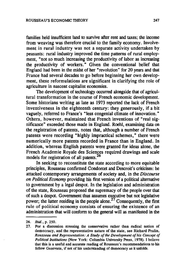families held msufficient land to survive after rent and taxes; the income from weaving was therefore crucial to the family economy. Involvement in rural industry was not a separate activity undertaken by peasants: rural industry improved the time patterns of rural employment, "not so much increasing the productivity of labor as increasing the productivity of workers." Given the conventional belief that England had been in the midst of ber "revolution" for 20 years and that France had several decades to go before beginning her own development, these reformulations are significant in clarifying the role of agriculture in nascent capitalist economies.

The development of technology occurred alongside that of agricultural transformation in the course of French economic development. Some historians writing as late as 1973 reported the lack of French inventiveness in the eighteenth century: they generously, if a bit vaguely, referred to France's "less congenial climate of innovation." Others, however, maintained that French inventions of "real significance" exceeded those made in England. Roehl, examining data on the registration of patents, notes that, although a number of French patents were recording "highly impractical schemes," there were numerically more patents recorded in France than in England. In addition, whereas English patents were granted for ideas alone, the French Academie Royale des Sciences required drawings and scale models for registration of ail patents.<sup>26</sup>

ln seeking to reconstitute the state according to more equitable principles, Rousseau confirmed Condorcet and Descroit's criticism: he attacked contemporary arrangements of society and, in the *Discourse on Political Economy* providing his first version of a political alternative to government by a legal despot. In the legislation and administration of the state, Rousseau proposed the supremacy of the people over that of such a despot. Government thus assumes executive but not legislative power; the latter residing in the people alone.<sup>27</sup> Consequently, the first rule of political economy consists of ensuring the existence of an administration that will conform to the general will as manifested in the

*<sup>26.</sup> Ibid.,* p. 250.

<sup>27.</sup> Por a discussion stressing the conservative rather than radical notion of democracy, and the representative nature of the state, see Richard Pralin, *Rousseau and Representation: A Sludy of the Development of his Concept of Politicallnstitutions* (New York: Columbia University Press, 1978). 1 believe that this is a useful and accurate reading of Rousseau's recommendations to bis fellow Genevans, if not of bis understanding of democracy as it unfolds.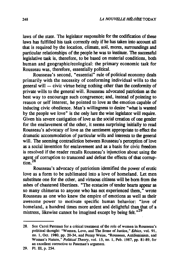laws of the state. The legislator responsible for the codification of these laws has fulfilled his task correctly only if he has taken into account all that is required by the location. climate. soil. mores. surroundings and particular relationships of the people he was to institute. The successful legislative task is. therefore. to be based on material conditions, bath human and geographic/ecological: the primary economic task for Rousseau was, therefore, essentially political.

Rousseau's second, "essential" rule of political economy deals primarily with the necessity of conforming individual wills to the  $\frac{1}{2}$  general will  $\frac{1}{2}$  civic virtue being nothing other than the conformity of private wills to the general will. Rousseau advocated patriotism as the best way to encourage such congruence; and, instead of pointing to reason or self interest. he pointed to love as the emotion capable of inducing civic obedience. Man's willingness to desire "what is wanted by the people we love" is the only lure the wise legislator will require. Given his severe castigation of love as the social creation of one gender for the enslavement of the other, it seems surprising initially to read Rousseau's advocacy of love as the sentiment appropriate to effect the dramatic accommodation of particular wills and interests to the general will. The seeming contradiction between Rousseau's perception of love as a social invention for enslavement and as a basis for civic freedom is resolved if the reader recalls Rousseau's injunction about using the agent of corruption to transcend and defeat the effects of that corrup $t$ <sub>tion</sub> $28$ 

Rousseau's advocacy of patriotism identified the power of erotic love as a form to be sublimated into a love of homeland. Let men substitute one for the other, and virtuous citizens will be born from the ashes of chastened libertines. "The ecstacies of tender hearts appear as so many chimeras to anyone who has not experienced them." wrote Rousseau as one who knew the empire of emotions as weil as their awesome power to motivate specifie human behavior: "love of homeland, a hundred times more ardent and delightful than that of a mistress, likewise cannot be imagined except by being felt. $n^{29}$ 

<sup>28.</sup> See Carol Pateman for a critical treatment of the role of women in Rousseau's political thought: "Women, Love, and The Sense of Justice," Ethics, vol. 91, no. l, Oct. 1980, pp. 20-34, and Penny Weiss, "Rousseau, Antifeminism, and Woman's Nature," *Political Theory,* vol. 15, no. l, Peb. 1987, pp. 81-89, for an excellent corrective to Paleman's argument.

<sup>29.</sup> PI. III, p. 254.